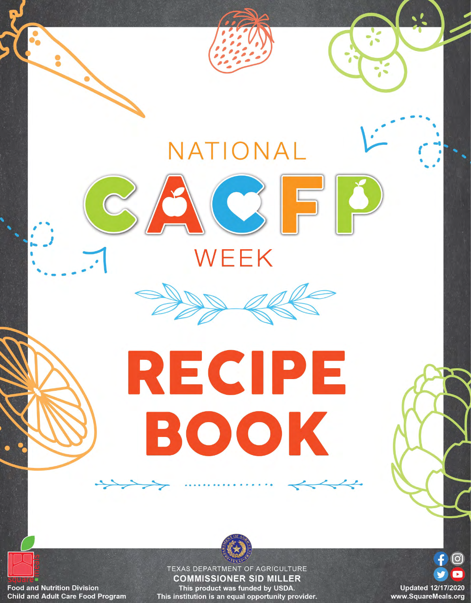

**Food and Nutrition Division Child and Adult Care Food Program** 

**COMMISSIONER SID MILLER** This product was funded by USDA. This institution is an equal opportunity provider.

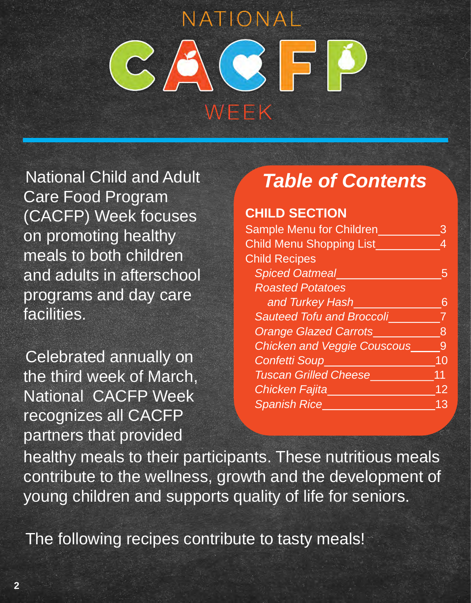National Child and Adult Care Food Program (CACFP) Week focuses on promoting healthy meals to both children and adults in afterschool programs and day care facilities.

Celebrated annually on the third week of March, National CACFP Week recognizes all CACFP partners that provided

## *Table of Contents*

#### **CHILD SECTION**

| <b>Sample Menu for Children</b>    |    |
|------------------------------------|----|
| <b>Child Menu Shopping List</b>    |    |
| <b>Child Recipes</b>               |    |
| <b>Spiced Oatmeal</b>              |    |
| <b>Roasted Potatoes</b>            |    |
| and Turkey Hash                    |    |
| <b>Sauteed Tofu and Broccoli</b>   |    |
| <b>Orange Glazed Carrots</b>       | 8  |
| <b>Chicken and Veggie Couscous</b> | 9  |
| <b>Confetti Soup</b>               | 10 |
| <b>Tuscan Grilled Cheese</b>       | 11 |
| <b>Chicken Fajita</b>              | 12 |
| <b>Spanish Rice</b>                | 13 |
|                                    |    |

healthy meals to their participants. These nutritious meals contribute to the wellness, growth and the development of young children and supports quality of life for seniors.

The following recipes contribute to tasty meals!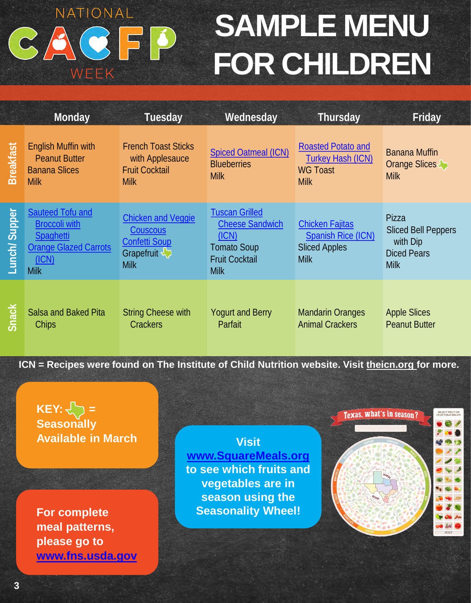#### NATIONAL **SAMPLE MENU** ACFP  $\mathcal{C}_{\lambda}$ **FOR CHILDREN** WEEK

|                  | Monday                                                                                                                      | <b>Tuesday</b>                                                                             | Wednesday                                                                                                              | Thursday                                                                                   | Friday                                                                               |
|------------------|-----------------------------------------------------------------------------------------------------------------------------|--------------------------------------------------------------------------------------------|------------------------------------------------------------------------------------------------------------------------|--------------------------------------------------------------------------------------------|--------------------------------------------------------------------------------------|
| <b>Breakfast</b> | <b>English Muffin with</b><br><b>Peanut Butter</b><br><b>Banana Slices</b><br><b>Milk</b>                                   | <b>French Toast Sticks</b><br>with Applesauce<br><b>Fruit Cocktail</b><br><b>Milk</b>      | <b>Spiced Oatmeal (ICN)</b><br><b>Blueberries</b><br><b>Milk</b>                                                       | <b>Roasted Potato and</b><br><b>Turkey Hash (ICN)</b><br><b>WG Toast</b><br><b>Milk</b>    | <b>Banana Muffin</b><br>Orange Slices<br><b>Milk</b>                                 |
| Lunch/Supper     | <b>Sauteed Tofu and</b><br><b>Broccoli with</b><br><b>Spaghetti</b><br><b>Orange Glazed Carrots</b><br>(ICN)<br><b>Milk</b> | <b>Chicken and Veggie</b><br>Couscous<br><b>Confetti Soup</b><br>Grapefruit<br><b>Milk</b> | <b>Tuscan Grilled</b><br><b>Cheese Sandwich</b><br>(ICN)<br><b>Tomato Soup</b><br><b>Fruit Cocktail</b><br><b>Milk</b> | <b>Chicken Fajitas</b><br><b>Spanish Rice (ICN)</b><br><b>Sliced Apples</b><br><b>Milk</b> | Pizza<br><b>Sliced Bell Peppers</b><br>with Dip<br><b>Diced Pears</b><br><b>Milk</b> |
| <b>Snack</b>     | Salsa and Baked Pita<br>Chips                                                                                               | <b>String Cheese with</b><br><b>Crackers</b>                                               | <b>Yogurt and Berry</b><br>Parfait                                                                                     | <b>Mandarin Oranges</b><br><b>Animal Crackers</b>                                          | <b>Apple Slices</b><br><b>Peanut Butter</b>                                          |

**ICN = Recipes were found on The Institute of Child Nutrition website. Visit [theicn.org f](https://theicn.org/)or more.**

#### $KEY: \bigsetminus \bigsetminus$  = Texas, what's in season? **Seasonally Available in March Visit [www.SquareMeals.org](http://www.squaremeals.org/) to see which fruits and vegetables are in season using the Seasonality Wheel! For complete meal patterns, please go to [www.fns.usda.gov](https://www.fns.usda.gov/)**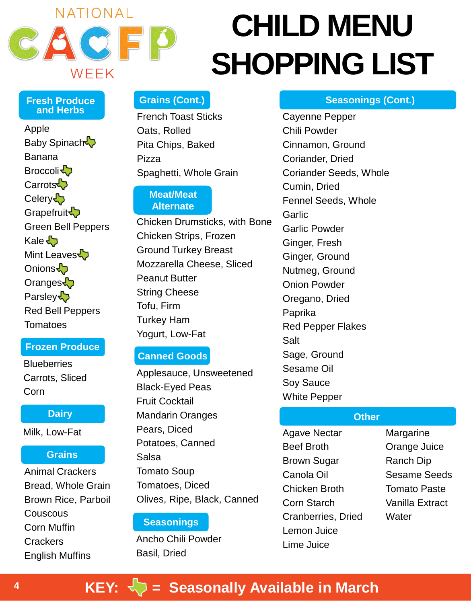

# **CHILD MENU SHOPPING LIST**

#### **Fresh Produce and Herbs**

Apple Baby Spinach Banana Broccoli<sup>-</sup> Carrots<sup>1</sup> Celery  $\sqrt{2}$ Grapefruit<sup>2</sup> Green Bell Peppers Kale <> Mint Leaves Onions Oranges<sup></sup> **Parsley** Red Bell Peppers Tomatoes

#### **Frozen Produce**

**Blueberries** Carrots, Sliced Corn

#### **Dairy**

Milk, Low-Fat

#### **Grains**

Animal Crackers Bread, Whole Grain Brown Rice, Parboil **Couscous** Corn Muffin Crackers English Muffins

#### **Grains (Cont.)**

French Toast Sticks Oats, Rolled Pita Chips, Baked Pizza Spaghetti, Whole Grain

#### **Meat/Meat Alternate**

Chicken Drumsticks, with Bone Chicken Strips, Frozen Ground Turkey Breast Mozzarella Cheese, Sliced Peanut Butter String Cheese Tofu, Firm Turkey Ham Yogurt, Low-Fat

#### **Canned Goods**

Applesauce, Unsweetened Black-Eyed Peas Fruit Cocktail Mandarin Oranges Pears, Diced Potatoes, Canned Salsa Tomato Soup Tomatoes, Diced Olives, Ripe, Black, Canned

#### **Seasonings**

Ancho Chili Powder Basil, Dried

**Seasonings (Cont.)**

Cayenne Pepper Chili Powder Cinnamon, Ground Coriander, Dried Coriander Seeds, Whole Cumin, Dried Fennel Seeds, Whole **Garlic** Garlic Powder Ginger, Fresh Ginger, Ground Nutmeg, Ground Onion Powder Oregano, Dried Paprika Red Pepper Flakes Salt Sage, Ground Sesame Oil Soy Sauce White Pepper

#### **Other**

Agave Nectar Beef Broth Brown Sugar Canola Oil Chicken Broth Corn Starch Cranberries, Dried Lemon Juice Lime Juice

Margarine Orange Juice Ranch Dip Sesame Seeds Tomato Paste Vanilla Extract **Water** 

#### **KEY:**  $\leftarrow$  = Seasonally Available in March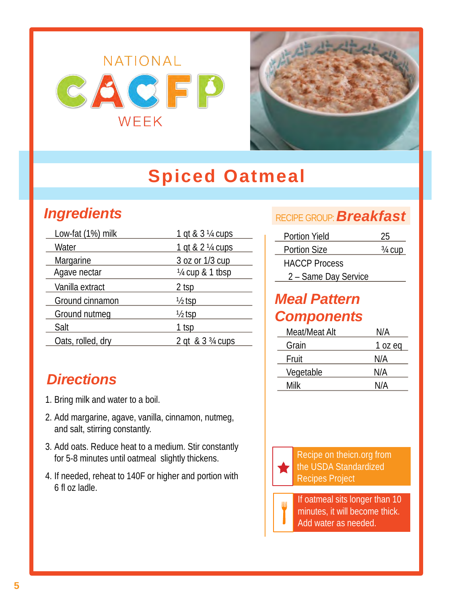

## **Spiced Oatmeal**

### <span id="page-4-0"></span>*Ingredients*

| Low-fat (1%) milk | 1 gt & 3 1/4 cups |
|-------------------|-------------------|
| Water             | 1 qt & 2 1/4 cups |
| Margarine         | 3 oz or 1/3 cup   |
| Agave nectar      | 1/4 cup & 1 tbsp  |
| Vanilla extract   | 2 tsp             |
| Ground cinnamon   | $\frac{1}{2}$ tsp |
| Ground nutmeg     | $\frac{1}{2}$ tsp |
| Salt              | 1 tsp             |
| Oats, rolled, dry | 2 gt & 3 3/4 cups |
|                   |                   |

### *Directions*

- 1. Bring milk and water to a boil.
- 2. Add margarine, agave, vanilla, cinnamon, nutmeg, and salt, stirring constantly.
- 3. Add oats. Reduce heat to a medium. Stir constantly for 5-8 minutes until oatmeal slightly thickens.
- 4. If needed, reheat to 140F or higher and portion with 6 fl oz ladle.

#### RECIPE GROUP:*Breakfast*

| Portion Yield        | 25        |
|----------------------|-----------|
| <b>Portion Size</b>  | $3/4$ CUD |
| <b>HACCP Process</b> |           |
| 2 - Same Day Service |           |

#### *Meal Pattern Components*

| Meat/Meat Alt | N/A     |
|---------------|---------|
| Grain         | 1 oz eg |
| Fruit         | N/A     |
| Vegetable     | N/A     |
| Milk          | N/A     |
|               |         |

Recipe on theicn.org from the USDA Standardized Recipes Project

If oatmeal sits longer than 10 minutes, it will become thick. Add water as needed.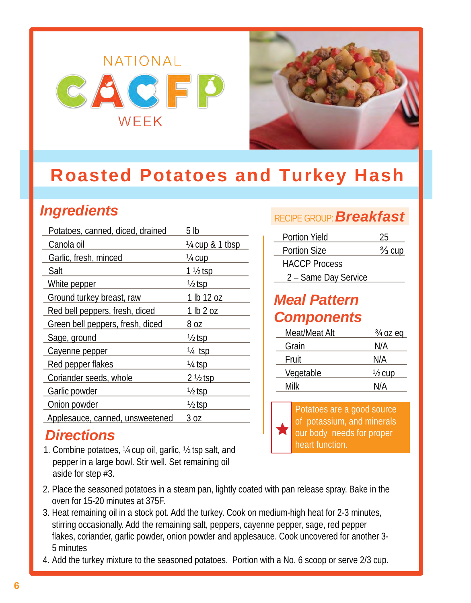## <span id="page-5-0"></span>NATIONAL  $<$  6  $<$  5 WEEK



### **Roasted Potatoes and Turkey Hash**

### *Ingredients*

| Potatoes, canned, diced, drained | 5 lb                |
|----------------------------------|---------------------|
| Canola oil                       | 1/4 cup & 1 tbsp    |
| Garlic, fresh, minced            | 1/4 cup             |
| Salt                             | 1 ½ tsp             |
| White pepper                     | $\frac{1}{2}$ tsp   |
| Ground turkey breast, raw        | 1 lb 12 oz          |
| Red bell peppers, fresh, diced   | 1 lb 2 oz           |
| Green bell peppers, fresh, diced | 8 oz                |
| Sage, ground                     | ½ tsp               |
| Cayenne pepper                   | <u>¼ tsp</u>        |
| Red pepper flakes                | <u>¼ tsp</u>        |
| Coriander seeds, whole           | $2 \frac{1}{2}$ tsp |
| Garlic powder                    | $\frac{1}{2}$ tsp   |
| Onion powder                     | ½ tsp               |
| Applesauce, canned, unsweetened  | 3 oz                |

#### *Directions*

1. Combine potatoes, ¼ cup oil, garlic, ½ tsp salt, and pepper in a large bowl. Stir well. Set remaining oil aside for step #3.

#### RECIPE GROUP:*Breakfast*

| Portion Yield        | 25                |
|----------------------|-------------------|
| <b>Portion Size</b>  | $\frac{2}{3}$ cup |
| <b>HACCP Process</b> |                   |
| 2 - Same Day Service |                   |

#### *Meal Pattern Components*

| Meat/Meat Alt | $\frac{3}{4}$ oz eq |
|---------------|---------------------|
| Grain         | N/A                 |
| Fruit         | N/A                 |
| Vegetable     | $\frac{1}{2}$ cup   |
| Milk          | N/A                 |

Potatoes are a good source of potassium, and minerals our body needs for proper heart function.

- 2. Place the seasoned potatoes in a steam pan, lightly coated with pan release spray. Bake in the oven for 15-20 minutes at 375F.
- 3. Heat remaining oil in a stock pot. Add the turkey. Cook on medium-high heat for 2-3 minutes, stirring occasionally. Add the remaining salt, peppers, cayenne pepper, sage, red pepper flakes, coriander, garlic powder, onion powder and applesauce. Cook uncovered for another 3- 5 minutes
- 4. Add the turkey mixture to the seasoned potatoes. Portion with a No. 6 scoop or serve 2/3 cup.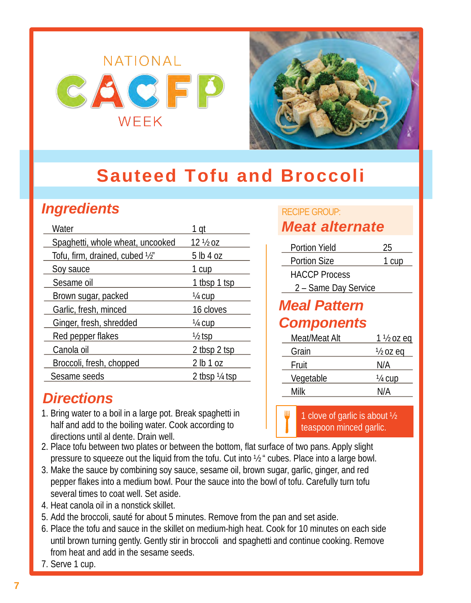## <span id="page-6-0"></span>NATIONAL  $G/GG$   $F$ WEEK



### **Sauteed Tofu and Broccoli**

### *Ingredients*

| Water                            | 1 qt                     |
|----------------------------------|--------------------------|
| Spaghetti, whole wheat, uncooked | 12 ½ oz                  |
| Tofu, firm, drained, cubed 1/2"  | 5 lb 4 oz                |
| Soy sauce                        | 1 cup                    |
| Sesame oil                       | 1 tbsp 1 tsp             |
| Brown sugar, packed              | ¼ cup                    |
| Garlic, fresh, minced            | 16 cloves                |
| Ginger, fresh, shredded          | ¼ cup                    |
| Red pepper flakes                | ½ tsp                    |
| Canola oil                       | 2 tbsp 2 tsp             |
| Broccoli, fresh, chopped         | 2 lb 1 oz                |
| Sesame seeds                     | 2 tbsp $\frac{1}{4}$ tsp |

### *Directions*

- 1. Bring water to a boil in a large pot. Break spaghetti in half and add to the boiling water. Cook according to directions until al dente. Drain well.
- 2. Place tofu between two plates or between the bottom, flat surface of two pans. Apply slight pressure to squeeze out the liquid from the tofu. Cut into ½ " cubes. Place into a large bowl.
- 3. Make the sauce by combining soy sauce, sesame oil, brown sugar, garlic, ginger, and red pepper flakes into a medium bowl. Pour the sauce into the bowl of tofu. Carefully turn tofu several times to coat well. Set aside.
- 4. Heat canola oil in a nonstick skillet.
- 5. Add the broccoli, sauté for about 5 minutes. Remove from the pan and set aside.
- 6. Place the tofu and sauce in the skillet on medium-high heat. Cook for 10 minutes on each side until brown turning gently. Gently stir in broccoli and spaghetti and continue cooking. Remove from heat and add in the sesame seeds.
- 7. Serve 1 cup.

#### RECIPE GROUP: *Meat alternate*

| 25                   |
|----------------------|
| 1 cup                |
|                      |
| 2 - Same Day Service |
|                      |
|                      |
| $1\frac{1}{2}$ oz eq |
| ½ oz eq              |
| N/A                  |
| 1⁄4 cup              |
| N/A                  |
|                      |

1 clove of garlic is about ½ teaspoon minced garlic.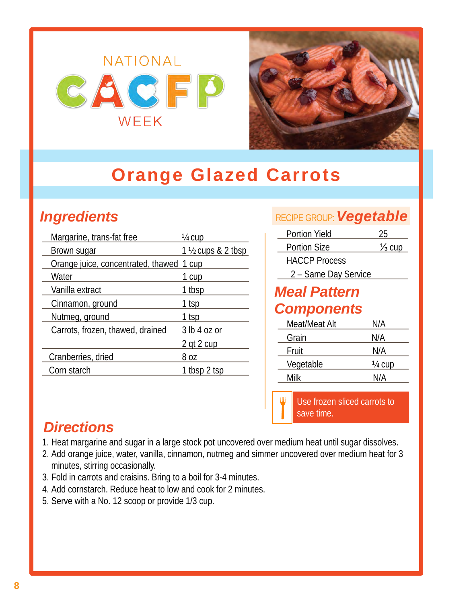

## <span id="page-7-0"></span>**Orange Glazed Carrots**

### *Ingredients*

| Margarine, trans-fat free                | ¼ cup               |
|------------------------------------------|---------------------|
| Brown sugar                              | 1 1/2 cups & 2 tbsp |
| Orange juice, concentrated, thawed 1 cup |                     |
| Water                                    | 1 cup               |
| Vanilla extract                          | 1 tbsp              |
| Cinnamon, ground                         | <u>1 tsp</u>        |
| Nutmeg, ground                           | 1 tsp               |
| Carrots, frozen, thawed, drained         | 3 lb 4 oz or        |
|                                          | 2 gt 2 cup          |
| Cranberries, dried                       | 8 oz                |
| Corn starch                              | 1 tbsp 2 tsp        |

#### RECIPE GROUP:*Vegetable*

| <b>Portion Yield</b> | 25                |
|----------------------|-------------------|
| <b>Portion Size</b>  | $\frac{1}{3}$ cup |
| <b>HACCP Process</b> |                   |
| 2 - Same Day Service |                   |
| <b>Meal Pattern</b>  |                   |
| <b>Components</b>    |                   |
| Meat/Meat Alt        | N/A               |
| Grain                | N/A               |
| Fruit                | N/A               |
| Vegetable            | 1/4 cup           |
| Milk                 | N/A               |
|                      |                   |

Use frozen sliced carrots to save time.

#### *Directions*

- 1. Heat margarine and sugar in a large stock pot uncovered over medium heat until sugar dissolves.
- 2. Add orange juice, water, vanilla, cinnamon, nutmeg and simmer uncovered over medium heat for 3 minutes, stirring occasionally.
- 3. Fold in carrots and craisins. Bring to a boil for 3-4 minutes.
- 4. Add cornstarch. Reduce heat to low and cook for 2 minutes.
- 5. Serve with a No. 12 scoop or provide 1/3 cup.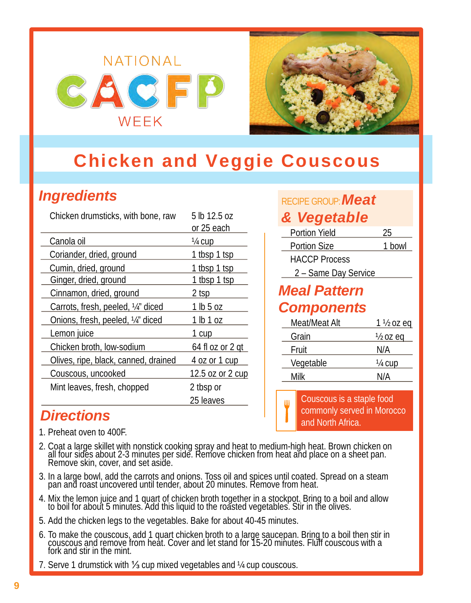# <span id="page-8-0"></span>NATIONAL WEEK



### **Chicken and Veggie Couscous**

### *Ingredients*

| Chicken drumsticks, with bone, raw   | 5 lb 12.5 oz<br>or 25 each |
|--------------------------------------|----------------------------|
| Canola oil                           | <u>¼ cup</u>               |
| Coriander, dried, ground             | 1 tbsp 1 tsp               |
| Cumin, dried, ground                 | 1 tbsp 1 tsp               |
| Ginger, dried, ground                | 1 tbsp 1 tsp               |
| Cinnamon, dried, ground              | 2 tsp                      |
| Carrots, fresh, peeled, 1/4" diced   | 1 lb 5 oz                  |
| Onions, fresh, peeled, 1/4" diced    | 1 lb 1 oz                  |
| Lemon juice                          | 1 cup                      |
| Chicken broth, low-sodium            | 64 fl oz or 2 gt           |
| Olives, ripe, black, canned, drained | 4 oz or 1 cup              |
| Couscous, uncooked                   | 12.5 oz or 2 cup           |
| Mint leaves, fresh, chopped          | 2 tbsp or                  |
|                                      | 25 leaves                  |

### *Directions*

- 1. Preheat oven to 400F.
- 2. Coat a large skillet with nonstick cooking spray and heat to medium-high heat. Brown chicken on all four sides about 2-3 minutes per side. Remove chicken from heat and place on a sheet pan.<br>Remove skin, cover, and set a
- 3. In a large bowl, add the carrots and onions. Toss oil and spices until coated. Spread on a steam pan and roast uncovered until tender, about 20 minutes. Remove from heat.
- 4. Mix the lemon juice and 1 quart of chicken broth together in a stockpot. Bring to a boil and allow to boil for about 5 minutes. Add this liquid to the roasted vegetables. Stir in the olives.
- 5. Add the chicken legs to the vegetables. Bake for about 40-45 minutes.
- 6. To make the couscous, add 1 quart chicken broth to a large saucepan. Bring to a boil then stir in couscous and remove from heat. Cover and let stand for 15-20 minutes. Fluff couscous with a fork and stir in the mint.
- 7. Serve 1 drumstick with ⅓ cup mixed vegetables and ¼ cup couscous.

#### RECIPE GROUP:*Meat*

#### *& Vegetable*

| <b>Portion Yield</b> | 25                   |
|----------------------|----------------------|
| <b>Portion Size</b>  | 1 bowl               |
| <b>HACCP Process</b> |                      |
| 2 - Same Day Service |                      |
| <b>Meal Pattern</b>  |                      |
| <b>Components</b>    |                      |
| Meat/Meat Alt        | $1\frac{1}{2}$ oz eq |
| Grain                | ½ oz ea              |

| Grain     | $\frac{1}{2}$ oz eq |
|-----------|---------------------|
| Fruit     | N/A                 |
| Vegetable | 1/4 cup             |
| Milk      | N/A                 |
|           |                     |

Couscous is a staple food commonly served in Morocco and North Africa.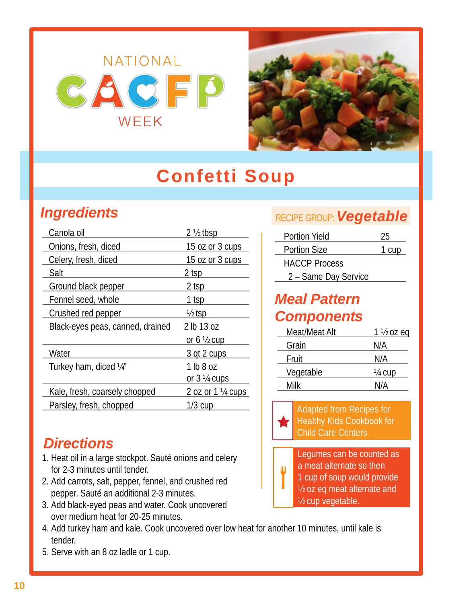

## **Confetti Soup**

### <span id="page-9-0"></span>*Ingredients*

| Canola oil                       | $2\frac{1}{2}$ tbsp    |  |
|----------------------------------|------------------------|--|
| Onions, fresh, diced             | 15 oz or 3 cups        |  |
| Celery, fresh, diced             | 15 oz or 3 cups        |  |
| Salt                             | 2 tsp                  |  |
| Ground black pepper              | 2 tsp                  |  |
| Fennel seed, whole               | 1 tsp                  |  |
| Crushed red pepper               | ½ tsp                  |  |
| Black-eyes peas, canned, drained | 2 lb 13 oz             |  |
|                                  | or 6 $\frac{1}{2}$ cup |  |
| Water                            | 3 gt 2 cups            |  |
| Turkey ham, diced 1/4"           | 1 lb 8 oz              |  |
|                                  | or $3\frac{1}{4}$ cups |  |
| Kale, fresh, coarsely chopped    | 2 oz or 1 1/4 cups     |  |
| Parsley, fresh, chopped          | $1/3$ cup              |  |

### *Directions*

- 1. Heat oil in a large stockpot. Sauté onions and celery for 2-3 minutes until tender.
- 2. Add carrots, salt, pepper, fennel, and crushed red pepper. Sauté an additional 2-3 minutes.
- 3. Add black-eyed peas and water. Cook uncovered over medium heat for 20-25 minutes.
- 4. Add turkey ham and kale. Cook uncovered over low heat for another 10 minutes, until kale is tender.
- 5. Serve with an 8 oz ladle or 1 cup.

#### RECIPE GROUP:*Vegetable*

| <b>Portion Yield</b> | 25    |
|----------------------|-------|
| <b>Portion Size</b>  | 1 cup |
| <b>HACCP Process</b> |       |
| 2 - Same Day Service |       |

#### *Meal Pattern Components*

| $1\frac{1}{2}$ oz eq |
|----------------------|
| N/A                  |
| N/A                  |
| 1/4 cup              |
| N/A                  |
|                      |



Ш

Adapted from Recipes for Healthy Kids Cookbook for Child Care Centers.

Legumes can be counted as a meat alternate so then 1 cup of soup would provide ½ oz eq meat alternate and ½ cup vegetable.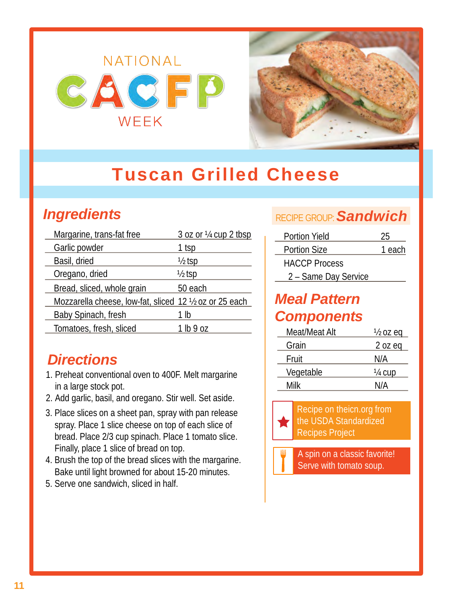

## <span id="page-10-0"></span>**Tuscan Grilled Cheese**

### *Ingredients*

| Margarine, trans-fat free                               | 3 oz or 1/4 cup 2 tbsp |
|---------------------------------------------------------|------------------------|
| Garlic powder                                           | 1 tsp                  |
| Basil, dried                                            | $\frac{1}{2}$ tsp      |
| Oregano, dried                                          | $\frac{1}{2}$ tsp      |
| Bread, sliced, whole grain                              | 50 each                |
| Mozzarella cheese, low-fat, sliced 12 1/2 oz or 25 each |                        |
| Baby Spinach, fresh                                     | 1 lb                   |
| Tomatoes, fresh, sliced                                 | 1 lb9 oz               |

### *Directions*

- 1. Preheat conventional oven to 400F. Melt margarine in a large stock pot.
- 2. Add garlic, basil, and oregano. Stir well. Set aside.
- 3. Place slices on a sheet pan, spray with pan release spray. Place 1 slice cheese on top of each slice of bread. Place 2/3 cup spinach. Place 1 tomato slice. Finally, place 1 slice of bread on top.
- 4. Brush the top of the bread slices with the margarine. Bake until light browned for about 15-20 minutes.
- 5. Serve one sandwich, sliced in half.

#### RECIPE GROUP:*Sandwich*

| Portion Yield        | 25     |
|----------------------|--------|
| <b>Portion Size</b>  | 1 each |
| <b>HACCP</b> Process |        |
| 2 - Same Day Service |        |

#### *Meal Pattern Components*

| Meat/Meat Alt | $\frac{1}{2}$ oz eq |
|---------------|---------------------|
| Grain         | $2$ oz eq           |
| Fruit         | N/A                 |
| Vegetable     | 1/4 cup             |
| Milk          | N/A                 |

Recipe on theicn.org from the USDA Standardized Recipes Project

A spin on a classic favorite! Serve with tomato soup.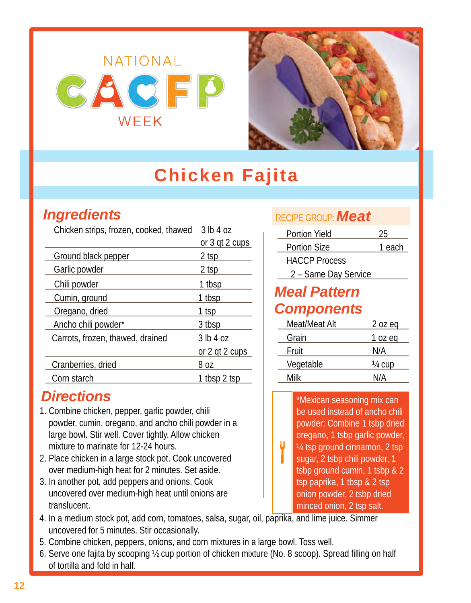

## **Chicken Fajita**

### <span id="page-11-0"></span>*Ingredients*

| Chicken strips, frozen, cooked, thawed | 3 lb 4 oz      |
|----------------------------------------|----------------|
|                                        | or 3 gt 2 cups |
| Ground black pepper                    | 2 tsp          |
| Garlic powder                          | $2$ tsp        |
| Chili powder                           | 1 tbsp         |
| Cumin, ground                          | 1 tbsp         |
| Oregano, dried                         | 1 tsp          |
| Ancho chili powder*                    | 3 tbsp         |
| Carrots, frozen, thawed, drained       | 3 lb 4 oz      |
|                                        | or 2 gt 2 cups |
| Cranberries, dried                     | 8 oz           |
| Corn starch                            | 1 tbsp 2 tsp   |

#### *Directions*

- 1. Combine chicken, pepper, garlic powder, chili powder, cumin, oregano, and ancho chili powder in a large bowl. Stir well. Cover tightly. Allow chicken mixture to marinate for 12-24 hours.
- 2. Place chicken in a large stock pot. Cook uncovered over medium-high heat for 2 minutes. Set aside.
- 3. In another pot, add peppers and onions. Cook uncovered over medium-high heat until onions are translucent.
- 4. In a medium stock pot, add corn, tomatoes, salsa, sugar, oil, paprika, and lime juice. Simmer uncovered for 5 minutes. Stir occasionally.
- 5. Combine chicken, peppers, onions, and corn mixtures in a large bowl. Toss well.
- 6. Serve one fajita by scooping ½ cup portion of chicken mixture (No. 8 scoop). Spread filling on half of tortilla and fold in half.

#### RECIPE GROUP:*Meat*

| Portion Yield        | 25     |
|----------------------|--------|
| <b>Portion Size</b>  | 1 each |
| <b>HACCP Process</b> |        |
| 2 - Same Day Service |        |

#### *Meal Pattern Components*

Ш

| 2 oz eq |
|---------|
| 1 oz eq |
| N/A     |
| 1/4 cup |
| N/A     |
|         |

\*Mexican seasoning mix can be used instead of ancho chili powder: Combine 1 tsbp dried oregano, 1 tsbp garlic powder, ¼ tsp ground cinnamon, 2 tsp sugar, 2 tsbp chili powder, 1 tsbp ground cumin, 1 tsbp & 2 tsp paprika, 1 tbsp & 2 tsp onion powder, 2 tsbp dried minced onion, 2 tsp salt.